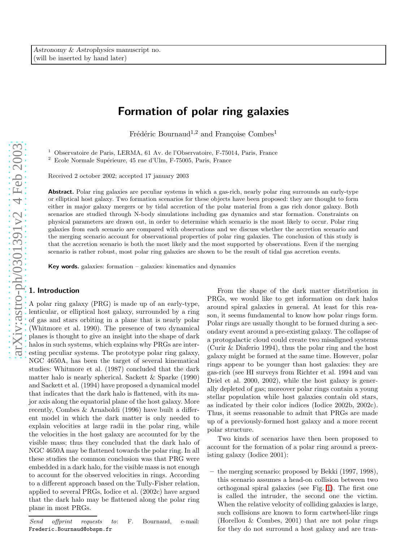# Formation of polar ring galaxies

Frédéric Bournaud<sup>1,2</sup> and Françoise Combes<sup>1</sup>

 $^{\rm 1}$  Observatoire de Paris, LERMA, 61 Av. de l'Observatoire, F-75014, Paris, France $^{\rm 2}$ Ecole Normale Supérieure, 45 rue d'Ulm, F-75005, Paris, France

Received 2 october 2002; accepted 17 january 2003

Abstract. Polar ring galaxies are peculiar systems in which a gas-rich, nearly polar ring surrounds an early-type or elliptical host galaxy. Two formation scenarios for these objects have been proposed: they are thought to form either in major galaxy mergers or by tidal accretion of the polar material from a gas rich donor galaxy. Both scenarios are studied through N-body simulations including gas dynamics and star formation. Constraints on physical parameters are drawn out, in order to determine which scenario is the most likely to occur. Polar ring galaxies from each scenario are compared with observations and we discuss whether the accretion scenario and the merging scenario account for observational properties of polar ring galaxies. The conclusion of this study is that the accretion scenario is both the most likely and the most supported by observations. Even if the merging scenario is rather robust, most polar ring galaxies are shown to be the result of tidal gas accretion events.

Key words. galaxies: formation – galaxies: kinematics and dynamics

# 1. Introduction

A polar ring galaxy (PRG) is made up of an early-type, lenticular, or elliptical host galaxy, surrounded by a ring of gas and stars orbiting in a plane that is nearly polar (Whitmore et al. 1990). The presence of two dynamical planes is thought to give an insight into the shape of dark halos in such systems, which explains why PRGs are interesting peculiar systems. The prototype polar ring galaxy, NGC 4650A, has been the target of several kinematical studies: Whitmore et al. (1987) concluded that the dark matter halo is nearly spherical. Sackett & Sparke (1990) and Sackett et al. (1994) have proposed a dynamical model that indicates that the dark halo is flattened, with its major axis along the equatorial plane of the host galaxy. More recently, Combes & Arnaboldi (1996) have built a different model in which the dark matter is only needed to explain velocities at large radii in the polar ring, while the velocities in the host galaxy are accounted for by the visible mass; thus they concluded that the dark halo of NGC 4650A may be flattened towards the polar ring. In all these studies the common conclusion was that PRG were embedded in a dark halo, for the visible mass is not enough to account for the observed velocities in rings. According to a different approach based on the Tully-Fisher relation, applied to several PRGs, Iodice et al. (2002c) have argued that the dark halo may be flattened along the polar ring plane in most PRGs.

From the shape of the dark matter distribution in PRGs, we would like to get information on dark halos around spiral galaxies in general. At least for this reason, it seems fundamental to know how polar rings form. Polar rings are usually thought to be formed during a secondary event around a pre-existing galaxy. The collapse of a protogalactic cloud could create two misaligned systems (Curir & Diaferio 1994), thus the polar ring and the host galaxy might be formed at the same time. However, polar rings appear to be younger than host galaxies: they are gas-rich (see HI surveys from Richter et al. 1994 and van Driel et al. 2000, 2002), while the host galaxy is generally depleted of gas; moreover polar rings contain a young stellar population while host galaxies contain old stars, as indicated by their color indices (Iodice 2002b, 2002c). Thus, it seems reasonable to admit that PRGs are made up of a previously-formed host galaxy and a more recent polar structure.

Two kinds of scenarios have then been proposed to account for the formation of a polar ring around a preexisting galaxy (Iodice 2001):

– the merging scenario: proposed by Bekki (1997, 1998), this scenario assumes a head-on collision between two orthogonal spiral galaxies (see Fig. [1\)](#page-1-0). The first one is called the intruder, the second one the victim. When the relative velocity of colliding galaxies is large, such collisions are known to form cartwheel-like rings (Horellou & Combes, 2001) that are not polar rings for they do not surround a host galaxy and are tran-

Send offprint requests to: F. Bournaud, e-mail: Frederic.Bournaud@obspm.fr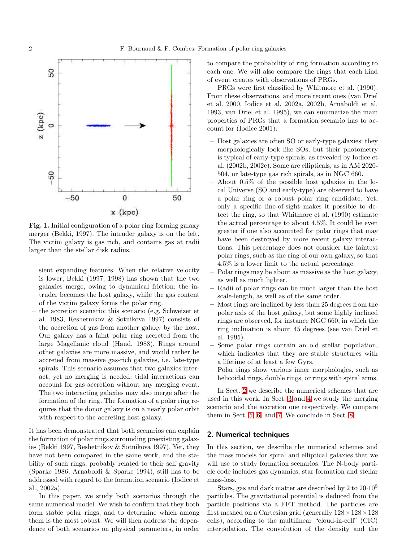

<span id="page-1-0"></span>Fig. 1. Initial configuration of a polar ring forming galaxy merger (Bekki, 1997). The intruder galaxy is on the left. The victim galaxy is gas rich, and contains gas at radii larger than the stellar disk radius.

sient expanding features. When the relative velocity is lower, Bekki (1997, 1998) has shown that the two galaxies merge, owing to dynamical friction: the intruder becomes the host galaxy, while the gas content of the victim galaxy forms the polar ring.

– the accretion scenario: this scenario (e.g. Schweizer et al. 1983, Reshetnikov & Sotnikova 1997) consists of the accretion of gas from another galaxy by the host. Our galaxy has a faint polar ring accreted from the large Magellanic cloud (Haud, 1988). Rings around other galaxies are more massive, and would rather be accreted from massive gas-rich galaxies, i.e. late-type spirals. This scenario assumes that two galaxies interact, yet no merging is needed: tidal interactions can account for gas accretion without any merging event. The two interacting galaxies may also merge after the formation of the ring. The formation of a polar ring requires that the donor galaxy is on a nearly polar orbit with respect to the accreting host galaxy.

It has been demonstrated that both scenarios can explain the formation of polar rings surrounding preexisting galaxies (Bekki 1997, Reshetnikov & Sotnikova 1997). Yet, they have not been compared in the same work, and the stability of such rings, probably related to their self gravity (Sparke 1986, Arnaboldi & Sparke 1994), still has to be addressed with regard to the formation scenario (Iodice et al., 2002a).

In this paper, we study both scenarios through the same numerical model. We wish to confirm that they both form stable polar rings, and to determine which among them is the most robust. We will then address the dependence of both scenarios on physical parameters, in order to compare the probability of ring formation according to each one. We will also compare the rings that each kind of event creates with observations of PRGs.

PRGs were first classified by Whitmore et al. (1990). From these observations, and more recent ones (van Driel et al. 2000, Iodice et al. 2002a, 2002b, Arnaboldi et al. 1993, van Driel et al. 1995), we can summarize the main properties of PRGs that a formation scenario has to account for (Iodice 2001):

- Host galaxies are often SO or early-type galaxies: they morphologically look like SOs, but their photometry is typical of early-type spirals, as revealed by Iodice et al. (2002b, 2002c). Some are ellipticals, as in AM 2020- 504, or late-type gas rich spirals, as in NGC 660.
- About 0.5% of the possible host galaxies in the local Universe (SO and early-type) are observed to have a polar ring or a robust polar ring candidate. Yet, only a specific line-of-sight makes it possible to detect the ring, so that Whitmore et al. (1990) estimate the actual percentage to about 4.5%. It could be even greater if one also accounted for polar rings that may have been destroyed by more recent galaxy interactions. This percentage does not consider the faintest polar rings, such as the ring of our own galaxy, so that 4.5% is a lower limit to the actual percentage.
- Polar rings may be about as massive as the host galaxy, as well as much lighter.
- Radii of polar rings can be much larger than the host scale-length, as well as of the same order.
- Most rings are inclined by less than 25 degrees from the polar axis of the host galaxy, but some highly inclined rings are observed, for instance NGC 660, in which the ring inclination is about 45 degrees (see van Driel et al. 1995).
- Some polar rings contain an old stellar population, which indicates that they are stable structures with a lifetime of at least a few Gyrs.
- Polar rings show various inner morphologies, such as helicoidal rings, double rings, or rings with spiral arms.

In Sect. [2](#page-1-1) we describe the numerical schemes that are used in this work. In Sect. [3](#page-2-0) and [4](#page-7-0) we study the merging scenario and the accretion one respectively. We compare them in Sect. [5,](#page-11-0) [6,](#page-12-0) and [7.](#page-15-0) We conclude in Sect. [8.](#page-16-0)

### <span id="page-1-1"></span>2. Numerical techniques

In this section, we describe the numerical schemes and the mass models for spiral and elliptical galaxies that we will use to study formation scenarios. The N-body particle code includes gas dynamics, star formation and stellar mass-loss.

Stars, gas and dark matter are described by 2 to 20·10<sup>5</sup> particles. The gravitational potential is deduced from the particle positions via a FFT method. The particles are first meshed on a Cartesian grid (generally  $128 \times 128 \times 128$ cells), according to the multilinear "cloud-in-cell" (CIC) interpolation. The convolution of the density and the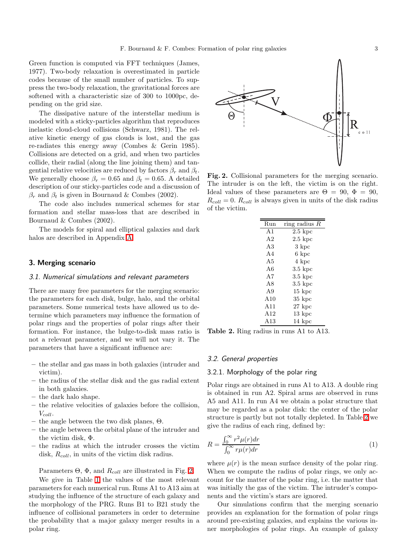Green function is computed via FFT techniques (James, 1977). Two-body relaxation is overestimated in particle codes because of the small number of particles. To suppress the two-body relaxation, the gravitational forces are softened with a characteristic size of 300 to 1000pc, depending on the grid size.

The dissipative nature of the interstellar medium is modeled with a sticky-particles algorithm that reproduces inelastic cloud-cloud collisions (Schwarz, 1981). The relative kinetic energy of gas clouds is lost, and the gas re-radiates this energy away (Combes & Gerin 1985). Collisions are detected on a grid, and when two particles collide, their radial (along the line joining them) and tangential relative velocities are reduced by factors  $\beta_r$  and  $\beta_t$ . We generally choose  $\beta_r = 0.65$  and  $\beta_t = 0.65$ . A detailed description of our sticky-particles code and a discussion of  $\beta_r$  and  $\beta_t$  is given in Bournaud & Combes (2002).

The code also includes numerical schemes for star formation and stellar mass-loss that are described in Bournaud & Combes (2002).

The models for spiral and elliptical galaxies and dark halos are described in Appendix [A.](#page-16-1)

# <span id="page-2-0"></span>3. Merging scenario

#### 3.1. Numerical simulations and relevant parameters

There are many free parameters for the merging scenario: the parameters for each disk, bulge, halo, and the orbital parameters. Some numerical tests have allowed us to determine which parameters may influence the formation of polar rings and the properties of polar rings after their formation. For instance, the bulge-to-disk mass ratio is not a relevant parameter, and we will not vary it. The parameters that have a significant influence are:

- the stellar and gas mass in both galaxies (intruder and victim).
- the radius of the stellar disk and the gas radial extent in both galaxies.
- the dark halo shape.
- the relative velocities of galaxies before the collision,  $V_{coll}.$
- the angle between the two disk planes,  $\Theta$ .
- the angle between the orbital plane of the intruder and the victim disk, Φ.
- the radius at which the intruder crosses the victim disk,  $R_{coll}$ , in units of the victim disk radius.

Parameters  $\Theta$ ,  $\Phi$ , and  $R_{coll}$  are illustrated in Fig. [2.](#page-2-1)

We give in Table [1](#page-3-0) the values of the most relevant parameters for each numerical run. Runs A1 to A13 aim at studying the influence of the structure of each galaxy and the morphology of the PRG. Runs B1 to B21 study the influence of collisional parameters in order to determine the probability that a major galaxy merger results in a polar ring.



<span id="page-2-1"></span>Fig. 2. Collisional parameters for the merging scenario. The intruder is on the left, the victim is on the right. Ideal values of these parameters are  $\Theta = 90, \ \Phi = 90,$  $R_{coll} = 0$ .  $R_{coll}$  is always given in units of the disk radius of the victim.

| Run            | ring radius R      |
|----------------|--------------------|
| A <sub>1</sub> | $2.5~{\rm kpc}$    |
| A <sub>2</sub> | $2.5~{\rm kpc}$    |
| A3             | 3 kpc              |
| AA             | 6 kpc              |
| A <sub>5</sub> | 4 kpc              |
| A6             | $3.5\;{\rm kpc}$   |
| A7             | $3.5~{\rm kpc}$    |
| A8             | $3.5\;{\rm kpc}$   |
| A <sub>9</sub> | $15\ \mathrm{kpc}$ |
| A10            | $35\;{\rm kpc}$    |
| A11            | $27~{\rm kpc}$     |
| A12            | $13\ \mathrm{kpc}$ |
| A13            | 14 kpc             |

<span id="page-2-2"></span>Table 2. Ring radius in runs A1 to A13.

#### 3.2. General properties

## 3.2.1. Morphology of the polar ring

Polar rings are obtained in runs A1 to A13. A double ring is obtained in run A2. Spiral arms are observed in runs A5 and A11. In run A4 we obtain a polar structure that may be regarded as a polar disk: the center of the polar structure is partly but not totally depleted. In Table [2](#page-2-2) we give the radius of each ring, defined by:

<span id="page-2-3"></span>
$$
R = \frac{\int_0^\infty r^2 \mu(r) dr}{\int_0^\infty r \mu(r) dr}
$$
\n(1)

where  $\mu(r)$  is the mean surface density of the polar ring. When we compute the radius of polar rings, we only account for the matter of the polar ring, i.e. the matter that was initially the gas of the victim. The intruder's components and the victim's stars are ignored.

Our simulations confirm that the merging scenario provides an explanation for the formation of polar rings around pre-existing galaxies, and explains the various inner morphologies of polar rings. An example of galaxy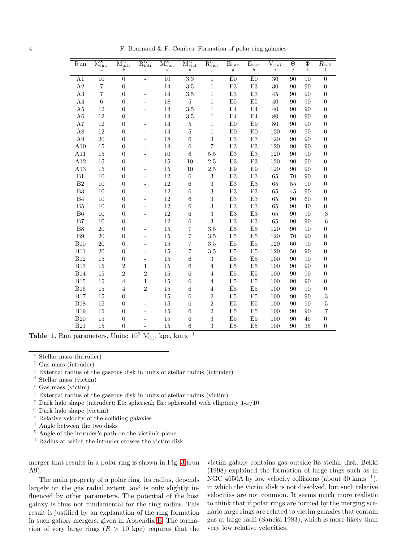4 F. Bournaud & F. Combes: Formation of polar ring galaxies

| Run            | $M_{\rm intr}^{S}$ | $\mathrm{M}^{G}_{\mathrm{intr}}$ | $\mathrm{R}_{\mathrm{intr}}^{G}$ | $M_{\mathrm{vict}}^S$ | $\mathrm{M}_{\mathrm{vict}}^G$ | $\mathrm{R_{vict}^G}$ | $\rm E_{intr}$         | $E_{\rm vict}$   | $\rm V_{\it coll}$ | $\overline{\Theta}$ | $\Phi$           | $\bar{R}_{coll}$ |
|----------------|--------------------|----------------------------------|----------------------------------|-----------------------|--------------------------------|-----------------------|------------------------|------------------|--------------------|---------------------|------------------|------------------|
|                | $\boldsymbol{a}$   | b                                | $\boldsymbol{c}$                 | $\boldsymbol{d}$      | $\boldsymbol{e}$               | $\boldsymbol{f}$      | $\boldsymbol{g}$       | $\boldsymbol{h}$ | $\it i$            | $\dot{j}$           | $\boldsymbol{k}$ | $\iota$          |
| A1             | 10                 | $\boldsymbol{0}$                 | $\overline{a}$                   | 10                    | $\overline{3.3}$               | 1                     | E0                     | E0               | 30                 | 90                  | 90               | $\boldsymbol{0}$ |
| A2             | 7                  | $\boldsymbol{0}$                 | L,                               | $14\,$                | 3.5                            | $\mathbf{1}$          | E3                     | E3               | 30                 | 90                  | 90               | $\boldsymbol{0}$ |
| A3             | 7                  | $\overline{0}$                   |                                  | 14                    | 3.5                            | $\mathbf{1}$          | $\mathop{\mathrm{E3}}$ | E3               | 45                 | 90                  | 90               | $\boldsymbol{0}$ |
| A <sub>4</sub> | 6                  | $\overline{0}$                   |                                  | 18                    | $\overline{5}$                 | $\mathbf{1}$          | E <sub>5</sub>         | E <sub>5</sub>   | 40                 | 90                  | 90               | $\overline{0}$   |
| A5             | 12                 | $\overline{0}$                   |                                  | 14                    | 3.5                            | 1                     | E4                     | E4               | 40                 | 90                  | 90               | $\overline{0}$   |
| A6             | 12                 | $\overline{0}$                   |                                  | 14                    | 3.5                            | 1                     | E4                     | E4               | 80                 | 90                  | 90               | $\boldsymbol{0}$ |
| A7             | 12                 | $\overline{0}$                   |                                  | 14                    | $\bf 5$                        | $\mathbf{1}$          | E9                     | E9               | 80                 | 90                  | 90               | $\boldsymbol{0}$ |
| A8             | 12                 | $\overline{0}$                   |                                  | 14                    | 5                              | 1                     | E <sub>0</sub>         | E <sub>0</sub>   | 120                | 90                  | 90               | $\boldsymbol{0}$ |
| A9             | $20\,$             | $\overline{0}$                   |                                  | 18                    | $\,6$                          | 3                     | E3                     | $\mathrm{E}3$    | 120                | 90                  | 90               | $\boldsymbol{0}$ |
| A10            | 15                 | $\overline{0}$                   |                                  | 14                    | $\,6$                          | $\overline{7}$        | E3                     | $\mathrm{E}3$    | 120                | 90                  | 90               | $\boldsymbol{0}$ |
| A11            | 15                 | $\overline{0}$                   |                                  | 10                    | 6                              | 5.5                   | E3                     | E3               | 120                | 90                  | 90               | $\boldsymbol{0}$ |
| A12            | 15                 | $\overline{0}$                   |                                  | $15\,$                | 10                             | $2.5\,$               | E3                     | E3               | 120                | 90                  | 90               | $\boldsymbol{0}$ |
| A13            | $15\,$             | $\overline{0}$                   |                                  | $15\,$                | 10                             | $2.5\,$               | $\mathrm{E}9$          | $\mathrm{E}9$    | 120                | 90                  | 90               | $\boldsymbol{0}$ |
| B1             | 10                 | $\overline{0}$                   |                                  | $12\,$                | $\,6$                          | $\sqrt{3}$            | E3                     | $\mathrm{E}3$    | 65                 | 70                  | 90               | $\boldsymbol{0}$ |
| $\rm B2$       | 10                 | $\overline{0}$                   |                                  | 12                    | $\,6$                          | 3                     | E3                     | E3               | 65                 | 55                  | 90               | $\overline{0}$   |
| $\mathbf{B}3$  | 10                 | $\overline{0}$                   |                                  | $12\,$                | $\,6$                          | 3                     | E3                     | $\mathrm{E}3$    | 65                 | 45                  | 90               | $\boldsymbol{0}$ |
| B4             | $10\,$             | $\overline{0}$                   |                                  | $12\,$                | $\,6$                          | 3                     | $\mathrm{E}3$          | $\mathrm{E}3$    | 65                 | 90                  | 60               | $\boldsymbol{0}$ |
| B5             | 10                 | $\overline{0}$                   |                                  | 12                    | $\,$ 6 $\,$                    | 3                     | E3                     | E3               | 65                 | 90                  | 40               | $\boldsymbol{0}$ |
| ${\rm B}6$     | 10                 | $\overline{0}$                   |                                  | $12\,$                | $\,6$                          | $\sqrt{3}$            | $\mathrm{E}3$          | $\mathrm{E}3$    | 65                 | 90                  | 90               | $\cdot$          |
| B7             | 10                 | $\overline{0}$                   |                                  | 12                    | $\,6$                          | 3                     | E3                     | E3               | 65                 | 90                  | 90               | $\cdot 6$        |
| B <sub>8</sub> | 20                 | $\overline{0}$                   |                                  | 15                    | 7                              | 3.5                   | E <sub>5</sub>         | E <sub>5</sub>   | 120                | 90                  | 90               | $\boldsymbol{0}$ |
| B9             | 20                 | $\overline{0}$                   |                                  | 15                    | 7                              | 3.5                   | E <sub>5</sub>         | E <sub>5</sub>   | 120                | 70                  | 90               | $\overline{0}$   |
| <b>B10</b>     | $20\,$             | $\overline{0}$                   | ÷,                               | $15\,$                | $\overline{7}$                 | 3.5                   | E5                     | E <sub>5</sub>   | 120                | 60                  | 90               | $\boldsymbol{0}$ |
| <b>B11</b>     | 20                 | $\overline{0}$                   | L,                               | 15                    | $\overline{7}$                 | 3.5                   | E <sub>5</sub>         | E <sub>5</sub>   | 120                | 50                  | 90               | $\overline{0}$   |
| <b>B12</b>     | 15                 | $\overline{0}$                   | $\qquad \qquad -$                | 15                    | 6                              | $\boldsymbol{3}$      | E <sub>5</sub>         | E <sub>5</sub>   | 100                | 90                  | 90               | $\overline{0}$   |
| <b>B13</b>     | 15                 | 2                                | 1                                | 15                    | $\,6$                          | $\overline{4}$        | E <sub>5</sub>         | E <sub>5</sub>   | 100                | 90                  | 90               | $\boldsymbol{0}$ |
| <b>B14</b>     | 15                 | $\overline{2}$                   | $\overline{2}$                   | $15\,$                | $\,6$                          | $\overline{4}$        | E <sub>5</sub>         | E <sub>5</sub>   | 100                | 90                  | 90               | $\boldsymbol{0}$ |
| <b>B15</b>     | 15                 | 4                                | 1                                | 15                    | $\,6$                          | 4                     | E <sub>5</sub>         | E <sub>5</sub>   | 100                | 90                  | 90               | $\boldsymbol{0}$ |
| <b>B16</b>     | 15                 | 4                                | $\overline{2}$                   | 15                    | $\,6$                          | $\overline{4}$        | E <sub>5</sub>         | E <sub>5</sub>   | 100                | 90                  | 90               | $\boldsymbol{0}$ |
| <b>B17</b>     | 15                 | $\overline{0}$                   | ÷,                               | $15\,$                | $\,6$                          | $\overline{2}$        | E5                     | $\rm E5$         | 100                | 90                  | 90               | $\cdot$          |
| <b>B18</b>     | $15\,$             | $\overline{0}$                   | $\overline{a}$                   | $15\,$                | $\,6$                          | $\overline{2}$        | E <sub>5</sub>         | E <sub>5</sub>   | 100                | 90                  | 90               | $.5\,$           |
| <b>B19</b>     | 15                 | $\overline{0}$                   |                                  | $15\,$                | $\,6$                          | $\overline{2}$        | E <sub>5</sub>         | E <sub>5</sub>   | 100                | 90                  | 90               | $\cdot 7$        |
| <b>B20</b>     | 15                 | $\boldsymbol{0}$                 |                                  | 15                    | $\overline{6}$                 | 3                     | E <sub>5</sub>         | E <sub>5</sub>   | 100                | 90                  | 45               | $\boldsymbol{0}$ |
| <b>B21</b>     | 15                 | $\overline{0}$                   |                                  | 15                    | 6                              | 3                     | E <sub>5</sub>         | E <sub>5</sub>   | 100                | 90                  | 35               | $\boldsymbol{0}$ |

<span id="page-3-0"></span>Table 1. Run parameters. Units:  $10^9$  M<sub> $\odot$ </sub>, kpc, km.s<sup>-1</sup>

<sup>a</sup> Stellar mass (intruder)

- Gas mass (intruder)
- $c$  External radius of the gaseous disk in units of stellar radius (intruder)
- $d$  Stellar mass (victim)
- $e$  Gas mass (victim)
- $f$  External radius of the gaseous disk in units of stellar radius (victim)
- <sup>g</sup> Dark halo shape (intruder); E0: spherical; Ex: spheroidal with ellipticity  $1-x/10$ .
- $h$  Dark halo shape (victim)
- <sup>i</sup> Relative velocity of the colliding galaxies
- <sup>j</sup> Angle between the two disks<br> $\frac{k}{h}$  Angle of the intruder's path
- Angle of the intruder's path on the victim's plane
- <sup>l</sup> Radius at which the intruder crosses the victim disk

merger that results in a polar ring is shown in Fig. [3](#page-4-0) (run A9).

The main property of a polar ring, its radius, depends largely on the gas radial extent, and is only slightly influenced by other parameters. The potential of the host galaxy is thus not fundamental for the ring radius. This result is justified by an explanation of the ring formation in such galaxy mergers, given in Appendix [B.](#page-17-0) The formation of very large rings  $(R > 10 \text{ kpc})$  requires that the

victim galaxy contains gas outside its stellar disk. Bekki (1998) explained the formation of large rings such as in NGC 4650A by low velocity collisions (about 30 km.s<sup>-1</sup>), in which the victim disk is not dissolved, but such relative velocities are not common. It seems much more realistic to think that if polar rings are formed by the merging scenario large rings are related to victim galaxies that contain gas at large radii (Sancisi 1983), which is more likely than very low relative velocities.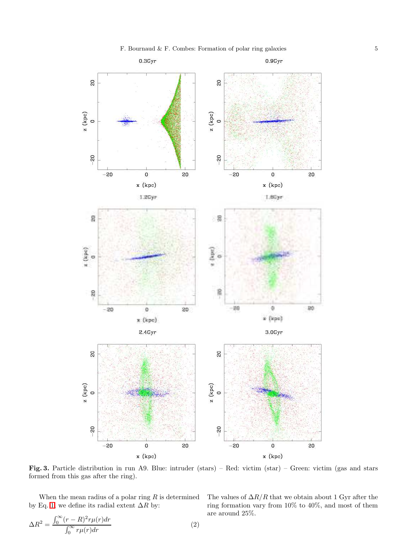

<span id="page-4-0"></span>Fig. 3. Particle distribution in run A9. Blue: intruder (stars) – Red: victim (star) – Green: victim (gas and stars formed from this gas after the ring).

When the mean radius of a polar ring  $R$  is determined by Eq. [1,](#page-2-3) we define its radial extent  $\Delta R$  by:

$$
\Delta R^2 = \frac{\int_0^\infty (r - R)^2 r \mu(r) dr}{\int_0^\infty r \mu(r) dr}
$$
\n(2)

The values of  $\Delta R/R$  that we obtain about 1 Gyr after the ring formation vary from 10% to 40%, and most of them are around 25%.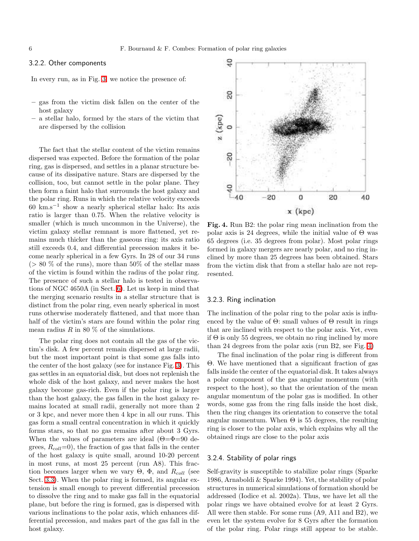# <span id="page-5-3"></span>3.2.2. Other components

In every run, as in Fig. [3,](#page-4-0) we notice the presence of:

- gas from the victim disk fallen on the center of the host galaxy
- a stellar halo, formed by the stars of the victim that are dispersed by the collision

The fact that the stellar content of the victim remains dispersed was expected. Before the formation of the polar ring, gas is dispersed, and settles in a planar structure because of its dissipative nature. Stars are dispersed by the collision, too, but cannot settle in the polar plane. They then form a faint halo that surrounds the host galaxy and the polar ring. Runs in which the relative velocity exceeds 60 km.s−<sup>1</sup> show a nearly spherical stellar halo: Its axis ratio is larger than 0.75. When the relative velocity is smaller (which is much uncommon in the Universe), the victim galaxy stellar remnant is more flattened, yet remains much thicker than the gaseous ring: its axis ratio still exceeds 0.4, and differential precession makes it become nearly spherical in a few Gyrs. In 28 of our 34 runs  $(> 80\%$  of the runs), more than 50% of the stellar mass of the victim is found within the radius of the polar ring. The presence of such a stellar halo is tested in observations of NGC 4650A (in Sect. [6\)](#page-12-0). Let us keep in mind that the merging scenario results in a stellar structure that is distinct from the polar ring, even nearly spherical in most runs otherwise moderately flattened, and that more than half of the victim's stars are found within the polar ring mean radius  $R$  in 80  $\%$  of the simulations.

The polar ring does not contain all the gas of the victim's disk. A few percent remain dispersed at large radii, but the most important point is that some gas falls into the center of the host galaxy (see for instance Fig. [3\)](#page-4-0). This gas settles in an equatorial disk, but does not replenish the whole disk of the host galaxy, and never makes the host galaxy become gas-rich. Even if the polar ring is larger than the host galaxy, the gas fallen in the host galaxy remains located at small radii, generally not more than 2 or 3 kpc, and never more then 4 kpc in all our runs. This gas form a small central concentration in which it quickly forms stars, so that no gas remains after about 3 Gyrs. When the values of parameters are ideal  $(\Theta = \Phi = 90$  degrees,  $R_{coll}=0$ , the fraction of gas that falls in the center of the host galaxy is quite small, around 10-20 percent in most runs, at most 25 percent (run A8). This fraction becomes larger when we vary  $\Theta$ ,  $\Phi$ , and  $R_{coll}$  (see Sect. [3.3\)](#page-6-0). When the polar ring is formed, its angular extension is small enough to prevent differential precession to dissolve the ring and to make gas fall in the equatorial plane, but before the ring is formed, gas is dispersed with various inclinations to the polar axis, which enhances differential precession, and makes part of the gas fall in the host galaxy.



<span id="page-5-0"></span>Fig. 4. Run B2: the polar ring mean inclination from the polar axis is 24 degrees, while the initial value of  $\Theta$  was 65 degrees (i.e. 35 degrees from polar). Most polar rings formed in galaxy mergers are nearly polar, and no ring inclined by more than 25 degrees has been obtained. Stars from the victim disk that from a stellar halo are not represented.

### <span id="page-5-1"></span>3.2.3. Ring inclination

The inclination of the polar ring to the polar axis is influenced by the value of  $\Theta$ : small values of  $\Theta$  result in rings that are inclined with respect to the polar axis. Yet, even if  $\Theta$  is only 55 degrees, we obtain no ring inclined by more than 24 degrees from the polar axis (run B2, see Fig. [4\)](#page-5-0)

The final inclination of the polar ring is different from Θ. We have mentioned that a significant fraction of gas falls inside the center of the equatorial disk. It takes always a polar component of the gas angular momentum (with respect to the host), so that the orientation of the mean angular momentum of the polar gas is modified. In other words, some gas from the ring falls inside the host disk, then the ring changes its orientation to conserve the total angular momentum. When  $\Theta$  is 55 degrees, the resulting ring is closer to the polar axis, which explains why all the obtained rings are close to the polar axis

# <span id="page-5-2"></span>3.2.4. Stability of polar rings

Self-gravity is susceptible to stabilize polar rings (Sparke 1986, Arnaboldi & Sparke 1994). Yet, the stability of polar structures in numerical simulations of formation should be addressed (Iodice et al. 2002a). Thus, we have let all the polar rings we have obtained evolve for at least 2 Gyrs. All were then stable. For some runs (A9, A11 and B2), we even let the system evolve for 8 Gyrs after the formation of the polar ring. Polar rings still appear to be stable.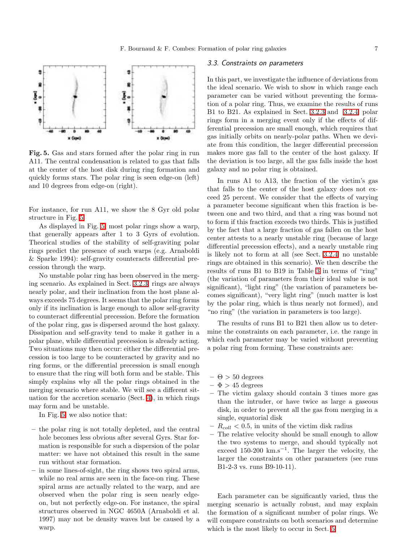

<span id="page-6-1"></span>Fig. 5. Gas and stars formed after the polar ring in run A11. The central condensation is related to gas that falls at the center of the host disk during ring formation and quickly forms stars. The polar ring is seen edge-on (left) and 10 degrees from edge-on (right).

For instance, for run A11, we show the 8 Gyr old polar structure in Fig. [5.](#page-6-1)

As displayed in Fig. [5,](#page-6-1) most polar rings show a warp, that generally appears after 1 to 3 Gyrs of evolution. Theorical studies of the stability of self-graviting polar rings predict the presence of such warps (e.g. Arnaboldi & Sparke 1994): self-gravity counteracts differential precession through the warp.

No unstable polar ring has been observed in the merging scenario. As explained in Sect. [3.2.3,](#page-5-1) rings are always nearly polar, and their inclination from the host plane always exceeds 75 degrees. It seems that the polar ring forms only if its inclination is large enough to allow self-gravity to counteract differential precession. Before the formation of the polar ring, gas is dispersed around the host galaxy. Dissipation and self-gravity tend to make it gather in a polar plane, while differential precession is already acting. Two situations may then occur: either the differential precession is too large to be counteracted by gravity and no ring forms, or the differential precession is small enough to ensure that the ring will both form and be stable. This simply explains why all the polar rings obtained in the merging scenario where stable. We will see a different situation for the accretion scenario (Sect. [4\)](#page-7-0), in which rings may form and be unstable.

In Fig. [5,](#page-6-1) we also notice that:

- the polar ring is not totally depleted, and the central hole becomes less obvious after several Gyrs. Star formation is responsible for such a dispersion of the polar matter: we have not obtained this result in the same run without star formation.
- in some lines-of-sight, the ring shows two spiral arms, while no real arms are seen in the face-on ring. These spiral arms are actually related to the warp, and are observed when the polar ring is seen nearly edgeon, but not perfectly edge-on. For instance, the spiral structures observed in NGC 4650A (Arnaboldi et al. 1997) may not be density waves but be caused by a warp.

# <span id="page-6-0"></span>3.3. Constraints on parameters

In this part, we investigate the influence of deviations from the ideal scenario. We wish to show in which range each parameter can be varied without preventing the formation of a polar ring. Thus, we examine the results of runs B1 to B21. As explained in Sect. [3.2.3](#page-5-1) and [3.2.4,](#page-5-2) polar rings form in a merging event only if the effects of differential precession are small enough, which requires that gas initially orbits on nearly-polar paths. When we deviate from this condition, the larger differential precession makes more gas fall to the center of the host galaxy. If the deviation is too large, all the gas falls inside the host galaxy and no polar ring is obtained.

In runs A1 to A13, the fraction of the victim's gas that falls to the center of the host galaxy does not exceed 25 percent. We consider that the effects of varying a parameter become significant when this fraction is between one and two third, and that a ring was bound not to form if this fraction exceeds two thirds. This is justified by the fact that a large fraction of gas fallen on the host center attests to a nearly unstable ring (because of large differential precession effects), and a nearly unstable ring is likely not to form at all (see Sect. [3.2.4:](#page-5-2) no unstable rings are obtained in this scenario). We then describe the results of runs B1 to B19 in Table [3](#page-7-1) in terms of "ring" (the variation of parameters from their ideal value is not significant), "light ring" (the variation of parameters becomes significant), "very light ring" (much matter is lost by the polar ring, which is thus nearly not formed), and "no ring" (the variation in parameters is too large).

The results of runs B1 to B21 then allow us to determine the constraints on each parameter, i.e. the range in which each parameter may be varied without preventing a polar ring from forming. These constraints are:

- $\Theta > 50$  degrees
- $\Phi$  > 45 degrees
- The victim galaxy should contain 3 times more gas than the intruder, or have twice as large a gaseous disk, in order to prevent all the gas from merging in a single, equatorial disk
- $R_{coll}$  < 0.5, in units of the victim disk radius
- The relative velocity should be small enough to allow the two systems to merge, and should typically not exceed  $150-200 \text{ km.s}^{-1}$ . The larger the velocity, the larger the constraints on other parameters (see runs B1-2-3 vs. runs B9-10-11).

Each parameter can be significantly varied, thus the merging scenario is actually robust, and may explain the formation of a significant number of polar rings. We will compare constraints on both scenarios and determine which is the most likely to occur in Sect. [5.](#page-11-0)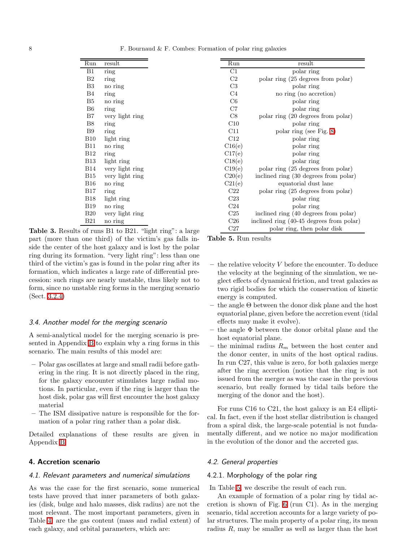8 **F. Bournaud & F. Combes: Formation of polar ring galaxies** 

| Run            | result          |                                           | Run             | result                                   |
|----------------|-----------------|-------------------------------------------|-----------------|------------------------------------------|
| B1             | ring            |                                           | C1              | polar ring                               |
| B <sub>2</sub> | ring            |                                           | C <sub>2</sub>  | polar ring (25 degrees from polar)       |
| B <sub>3</sub> | no ring         |                                           | C <sub>3</sub>  | polar ring                               |
| B4             | ring            |                                           | C4              | no ring (no accretion)                   |
| B5             | no ring         |                                           | C <sub>6</sub>  | polar ring                               |
| B <sub>6</sub> | ring            |                                           | C7              | polar ring                               |
| B7             | very light ring |                                           | C8              | polar ring (20 degrees from polar)       |
| <b>B8</b>      | ring            |                                           | C10             | polar ring                               |
| B9             | ring            |                                           | C11             | polar ring (see Fig. 8)                  |
| <b>B10</b>     | light ring      |                                           | C12             | polar ring                               |
| <b>B11</b>     | no ring         |                                           | C16(e)          | polar ring                               |
| <b>B12</b>     | ring            |                                           | C17(e)          | polar ring                               |
| <b>B</b> 13    | light ring      |                                           | C18(e)          | polar ring                               |
| <b>B14</b>     | very light ring |                                           | C19(e)          | polar ring (25 degrees from polar)       |
| B15            | very light ring |                                           | C20(e)          | inclined ring (30 degrees from polar)    |
| <b>B16</b>     | no ring         |                                           | C21(e)          | equatorial dust lane                     |
| <b>B17</b>     | ring            |                                           | C22             | polar ring (25 degrees from polar)       |
| <b>B18</b>     | light ring      |                                           | C23             | polar ring                               |
| <b>B19</b>     | no ring         |                                           | C <sub>24</sub> | polar ring                               |
| <b>B20</b>     | very light ring |                                           | C <sub>25</sub> | inclined ring (40 degrees from polar)    |
| <b>B21</b>     | no ring         |                                           | C <sub>26</sub> | inclined ring (40-45 degrees from polar) |
|                |                 | s of rups R1 to R21 "light rips"; a large | C27             | polar ring, then polar disk              |

<span id="page-7-1"></span>Table 3. Results of runs B1 to B21. "light ring": a large part (more than one third) of the victim's gas falls inside the center of the host galaxy and is lost by the polar ring during its formation. "very light ring": less than one third of the victim's gas is found in the polar ring after its formation, which indicates a large rate of differential precession: such rings are nearly unstable, thus likely not to form, since no unstable ring forms in the merging scenario (Sect. [3.2.4\)](#page-5-2)

#### 3.4. Another model for the merging scenario

A semi-analytical model for the merging scenario is presented in Appendix [B](#page-17-0) to explain why a ring forms in this scenario. The main results of this model are:

- Polar gas oscillates at large and small radii before gathering in the ring. It is not directly placed in the ring, for the galaxy encounter stimulates large radial motions. In particular, even if the ring is larger than the host disk, polar gas will first encounter the host galaxy material
- The ISM dissipative nature is responsible for the formation of a polar ring rather than a polar disk.

Detailed explanations of these results are given in Appendix [B](#page-17-0)

### <span id="page-7-0"></span>4. Accretion scenario

#### 4.1. Relevant parameters and numerical simulations

As was the case for the first scenario, some numerical tests have proved that inner parameters of both galaxies (disk, bulge and halo masses, disk radius) are not the most relevant. The most important parameters, given in Table [4,](#page-8-0) are the gas content (mass and radial extent) of each galaxy, and orbital parameters, which are:

<span id="page-7-2"></span>Table 5. Run results

- $-$  the relative velocity V before the encounter. To deduce the velocity at the beginning of the simulation, we neglect effects of dynamical friction, and treat galaxies as two rigid bodies for which the conservation of kinetic energy is computed.
- $-$  the angle  $\Theta$  between the donor disk plane and the host equatorial plane, given before the accretion event (tidal effects may make it evolve).
- the angle  $\Phi$  between the donor orbital plane and the host equatorial plane.
- the minimal radius  $R_m$  between the host center and the donor center, in units of the host optical radius. In run C27, this value is zero, for both galaxies merge after the ring accretion (notice that the ring is not issued from the merger as was the case in the previous scenario, but really formed by tidal tails before the merging of the donor and the host).

For runs C16 to C21, the host galaxy is an E4 elliptical. In fact, even if the host stellar distribution is changed from a spiral disk, the large-scale potential is not fundamentally different, and we notice no major modification in the evolution of the donor and the accreted gas.

### <span id="page-7-3"></span>4.2. General properties

# 4.2.1. Morphology of the polar ring

In Table [5,](#page-7-2) we describe the result of each run.

An example of formation of a polar ring by tidal accretion is shown of Fig. [6](#page-9-0) (run C1). As in the merging scenario, tidal accretion accounts for a large variety of polar structures. The main property of a polar ring, its mean radius  $R$ , may be smaller as well as larger than the host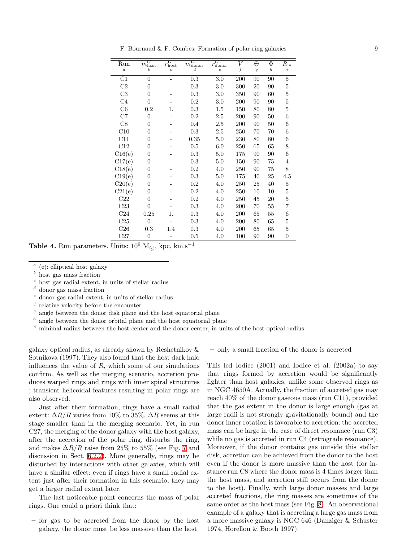F. Bournaud & F. Combes: Formation of polar ring galaxies 9

| Run<br>$\boldsymbol{a}$ | $m_{\rm host}$<br>h | $r_{\rm host}$<br>$\overline{c}$ | $m_{\rm donor}$<br>$\overline{d}$ | $r_{\rm donor}$<br>$\epsilon$ | V<br>f | Θ<br>$\overline{g}$ | Φ<br>$\boldsymbol{h}$ | $R_{m}$<br>i   |
|-------------------------|---------------------|----------------------------------|-----------------------------------|-------------------------------|--------|---------------------|-----------------------|----------------|
| C1                      | $\overline{0}$      |                                  | 0.3                               |                               | 200    | 90                  | 90                    | 5              |
|                         |                     |                                  |                                   | 3.0                           |        |                     |                       |                |
| C2                      | $\theta$            |                                  | 0.3                               | 3.0                           | 300    | 20                  | 90                    | 5              |
| C <sub>3</sub>          | $\theta$            |                                  | 0.3                               | 3.0                           | 350    | 90                  | 60                    | 5              |
| C <sub>4</sub>          | $\overline{0}$      |                                  | 0.2                               | 3.0                           | 200    | 90                  | 90                    | 5              |
| C6                      | 0.2                 | 1.                               | 0.3                               | 1.5                           | 150    | 80                  | 80                    | 5              |
| C7                      | $\overline{0}$      |                                  | 0.2                               | 2.5                           | 200    | 90                  | 50                    | 6              |
| C8                      | $\theta$            |                                  | 0.4                               | 2.5                           | 200    | 90                  | 50                    | 6              |
| C10                     | $\overline{0}$      |                                  | 0.3                               | 2.5                           | 250    | 70                  | 70                    | 6              |
| C11                     | $\overline{0}$      |                                  | 0.35                              | 5.0                           | 230    | 80                  | 80                    | 6              |
| C12                     | $\overline{0}$      |                                  | 0.5                               | 6.0                           | 250    | 65                  | 65                    | 8              |
| C16(e)                  | $\theta$            |                                  | 0.3                               | 5.0                           | 175    | 90                  | 90                    | 6              |
| C17(e)                  | $\theta$            |                                  | 0.3                               | 5.0                           | 150    | 90                  | 75                    | 4              |
| C18(e)                  | $\overline{0}$      |                                  | 0.2                               | 4.0                           | 250    | 90                  | 75                    | 8              |
| C19(e)                  | $\theta$            |                                  | 0.3                               | 5.0                           | 175    | 40                  | 25                    | 4.5            |
| C20(e)                  | $\overline{0}$      |                                  | 0.2                               | 4.0                           | 250    | 25                  | 40                    | 5              |
| C21(e)                  | $\overline{0}$      |                                  | 0.2                               | 4.0                           | 250    | 10                  | 10                    | 5              |
| C22                     | $\overline{0}$      |                                  | 0.2                               | 4.0                           | 250    | 45                  | 20                    | 5              |
| C23                     | $\overline{0}$      |                                  | 0.3                               | 4.0                           | 200    | 70                  | 55                    | 7              |
| C <sub>24</sub>         | 0.25                | 1.                               | 0.3                               | 4.0                           | 200    | 65                  | 55                    | 6              |
| C <sub>25</sub>         | $\overline{0}$      |                                  | 0.3                               | 4.0                           | 200    | 80                  | 65                    | 5              |
| C <sub>26</sub>         | 0.3                 | 1.4                              | 0.3                               | 4.0                           | 200    | 65                  | 65                    | 5              |
| C27                     | $\boldsymbol{0}$    |                                  | 0.5                               | 4.0                           | 100    | 90                  | 90                    | $\overline{0}$ |

<span id="page-8-0"></span>Table 4. Run parameters. Units:  $10^9$  M<sub> $\odot$ </sub>, kpc, km.s<sup>-1</sup>

- <sup>e</sup> donor gas radial extent, in units of stellar radius
- $f$  relative velocity before the encounter
- $g$  angle between the donor disk plane and the host equatorial plane
- $h$  angle between the donor orbital plane and the host equatorial plane
- <sup>i</sup> minimal radius between the host center and the donor center, in units of the host optical radius

galaxy optical radius, as already shown by Reshetnikov & Sotnikova (1997). They also found that the host dark halo influences the value of  $R$ , which some of our simulations confirm. As well as the merging scenario, accretion produces warped rings and rings with inner spiral structures ; transient helicoidal features resulting in polar rings are also observed.

Just after their formation, rings have a small radial extent:  $\Delta R/R$  varies from 10% to 35%.  $\Delta R$  seems at this stage smaller than in the merging scenario. Yet, in run C27, the merging of the donor galaxy with the host galaxy, after the accretion of the polar ring, disturbs the ring, and makes  $\Delta R/R$  raise from 25% to 55% (see Fig. [7](#page-10-1) and discussion in Sect. [6.2.2\)](#page-13-0). More generally, rings may be disturbed by interactions with other galaxies, which will have a similar effect: even if rings have a small radial extent just after their formation in this scenario, they may get a larger radial extent later.

The last noticeable point concerns the mass of polar rings. One could a priori think that:

– for gas to be accreted from the donor by the host galaxy, the donor must be less massive than the host

– only a small fraction of the donor is accreted

This led Iodice (2001) and Iodice et al. (2002a) to say that rings formed by accretion would be significantly lighter than host galaxies, unlike some observed rings as in NGC 4650A. Actually, the fraction of accreted gas may reach 40% of the donor gaseous mass (run C11), provided that the gas extent in the donor is large enough (gas at large radii is not strongly gravitationally bound) and the donor inner rotation is favorable to accretion: the accreted mass can be large in the case of direct resonance (run C3) while no gas is accreted in run C4 (retrograde resonance). Moreover, if the donor contains gas outside this stellar disk, accretion can be achieved from the donor to the host even if the donor is more massive than the host (for instance run C8 where the donor mass is 4 times larger than the host mass, and accretion still occurs from the donor to the host). Finally, with large donor masses and large accreted fractions, the ring masses are sometimes of the same order as the host mass (see Fig. [8\)](#page-10-0). An observational example of a galaxy that is accreting a large gas mass from a more massive galaxy is NGC 646 (Danziger & Schuster 1974, Horellou & Booth 1997).

a (e): elliptical host galaxy

 $<sup>b</sup>$  host gas mass fraction</sup>

c host gas radial extent, in units of stellar radius

d donor gas mass fraction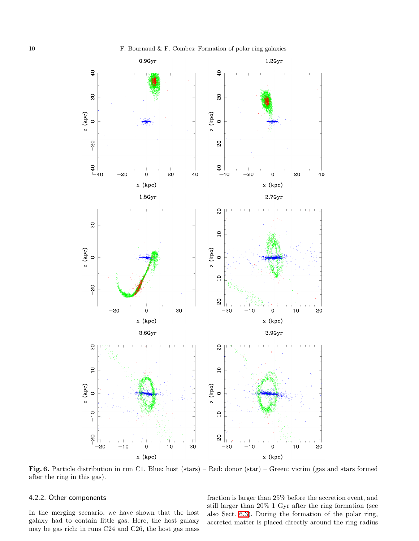

<span id="page-9-0"></span>Fig. 6. Particle distribution in run C1. Blue: host (stars) – Red: donor (star) – Green: victim (gas and stars formed after the ring in this gas).

# 4.2.2. Other components

In the merging scenario, we have shown that the host galaxy had to contain little gas. Here, the host galaxy may be gas rich: in runs C24 and C26, the host gas mass

fraction is larger than 25% before the accretion event, and still larger than 20% 1 Gyr after the ring formation (see also Sect. [6.3\)](#page-14-0). During the formation of the polar ring, accreted matter is placed directly around the ring radius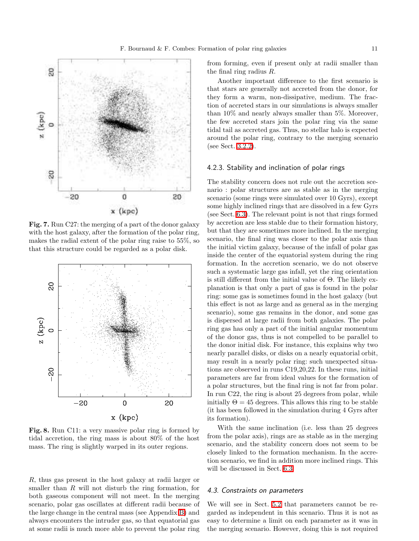

<span id="page-10-1"></span>Fig. 7. Run C27: the merging of a part of the donor galaxy with the host galaxy, after the formation of the polar ring, makes the radial extent of the polar ring raise to 55%, so that this structure could be regarded as a polar disk.



<span id="page-10-0"></span>Fig. 8. Run C11: a very massive polar ring is formed by tidal accretion, the ring mass is about 80% of the host mass. The ring is slightly warped in its outer regions.

R, thus gas present in the host galaxy at radii larger or smaller than  $R$  will not disturb the ring formation, for both gaseous component will not meet. In the merging scenario, polar gas oscillates at different radii because of the large change in the central mass (see Appendix [B\)](#page-17-0) and always encounters the intruder gas, so that equatorial gas at some radii is much more able to prevent the polar ring

from forming, even if present only at radii smaller than the final ring radius R.

Another important difference to the first scenario is that stars are generally not accreted from the donor, for they form a warm, non-dissipative, medium. The fraction of accreted stars in our simulations is always smaller than 10% and nearly always smaller than 5%. Moreover, the few accreted stars join the polar ring via the same tidal tail as accreted gas. Thus, no stellar halo is expected around the polar ring, contrary to the merging scenario (see Sect. [3.2.2\)](#page-5-3).

#### <span id="page-10-2"></span>4.2.3. Stability and inclination of polar rings

The stability concern does not rule out the accretion scenario : polar structures are as stable as in the merging scenario (some rings were simulated over 10 Gyrs), except some highly inclined rings that are dissolved in a few Gyrs (see Sect. [6.3\)](#page-14-0). The relevant point is not that rings formed by accretion are less stable due to their formation history, but that they are sometimes more inclined. In the merging scenario, the final ring was closer to the polar axis than the initial victim galaxy, because of the infall of polar gas inside the center of the equatorial system during the ring formation. In the accretion scenario, we do not observe such a systematic large gas infall, yet the ring orientation is still different from the initial value of Θ. The likely explanation is that only a part of gas is found in the polar ring: some gas is sometimes found in the host galaxy (but this effect is not as large and as general as in the merging scenario), some gas remains in the donor, and some gas is dispersed at large radii from both galaxies. The polar ring gas has only a part of the initial angular momentum of the donor gas, thus is not compelled to be parallel to the donor initial disk. For instance, this explains why two nearly parallel disks, or disks on a nearly equatorial orbit, may result in a nearly polar ring: such unexpected situations are observed in runs C19,20,22. In these runs, initial parameters are far from ideal values for the formation of a polar structures, but the final ring is not far from polar. In run C22, the ring is about 25 degrees from polar, while initially  $\Theta = 45$  degrees. This allows this ring to be stable (it has been followed in the simulation during 4 Gyrs after its formation).

With the same inclination (i.e. less than 25 degrees from the polar axis), rings are as stable as in the merging scenario, and the stability concern does not seem to be closely linked to the formation mechanism. In the accretion scenario, we find in addition more inclined rings. This will be discussed in Sect. [6.3.](#page-14-0)

### 4.3. Constraints on parameters

We will see in Sect. [5.2](#page-11-1) that parameters cannot be regarded as independent in this scenario. Thus it is not as easy to determine a limit on each parameter as it was in the merging scenario. However, doing this is not required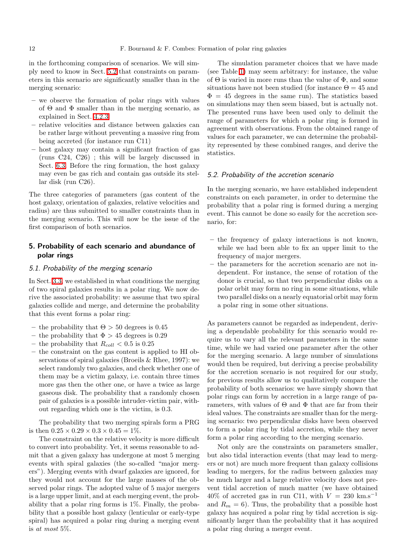in the forthcoming comparison of scenarios. We will simply need to know in Sect. [5.2](#page-11-1) that constraints on parameters in this scenario are significantly smaller than in the merging scenario:

- we observe the formation of polar rings with values of  $\Theta$  and  $\Phi$  smaller than in the merging scenario, as explained in Sect. [4.2.3](#page-10-2)
- relative velocities and distance between galaxies can be rather large without preventing a massive ring from being accreted (for instance run C11)
- host galaxy may contain a significant fraction of gas (runs C24, C26) ; this will be largely discussed in Sect. [6.3.](#page-14-0) Before the ring formation, the host galaxy may even be gas rich and contain gas outside its stellar disk (run C26).

The three categories of parameters (gas content of the host galaxy, orientation of galaxies, relative velocities and radius) are thus submitted to smaller constraints than in the merging scenario. This will now be the issue of the first comparison of both scenarios.

# <span id="page-11-0"></span>5. Probability of each scenario and abundance of polar rings

### 5.1. Probability of the merging scenario

In Sect. [3.3,](#page-6-0) we established in what conditions the merging of two spiral galaxies results in a polar ring. We now derive the associated probability: we assume that two spiral galaxies collide and merge, and determine the probability that this event forms a polar ring:

- the probability that  $\Theta > 50$  degrees is 0.45
- the probability that  $\Phi > 45$  degrees is 0.29
- the probability that  $R_{coll} < 0.5$  is 0.25
- the constraint on the gas content is applied to HI observations of spiral galaxies (Broeils & Rhee, 1997): we select randomly two galaxies, and check whether one of them may be a victim galaxy, i.e. contain three times more gas then the other one, or have a twice as large gaseous disk. The probability that a randomly chosen pair of galaxies is a possible intruder-victim pair, without regarding which one is the victim, is 0.3.

The probability that two merging spirals form a PRG is then  $0.25 \times 0.29 \times 0.3 \times 0.45 = 1\%$ .

The constraint on the relative velocity is more difficult to convert into probability. Yet, it seems reasonable to admit that a given galaxy has undergone at most 5 merging events with spiral galaxies (the so-called "major mergers"). Merging events with dwarf galaxies are ignored, for they would not account for the large masses of the observed polar rings. The adopted value of 5 major mergers is a large upper limit, and at each merging event, the probability that a polar ring forms is  $1\%$ . Finally, the probability that a possible host galaxy (lenticular or early-type spiral) has acquired a polar ring during a merging event is at most 5%.

The simulation parameter choices that we have made (see Table [1\)](#page-3-0) may seem arbitrary: for instance, the value of  $\Theta$  is varied in more runs than the value of  $\Phi$ , and some situations have not been studied (for instance  $\Theta = 45$  and  $\Phi = 45$  degrees in the same run). The statistics based on simulations may then seem biased, but is actually not. The presented runs have been used only to delimit the range of parameters for which a polar ring is formed in agreement with observations. From the obtained range of values for each parameter, we can determine the probability represented by these combined ranges, and derive the statistics.

#### <span id="page-11-1"></span>5.2. Probability of the accretion scenario

In the merging scenario, we have established independent constraints on each parameter, in order to determine the probability that a polar ring is formed during a merging event. This cannot be done so easily for the accretion scenario, for:

- the frequency of galaxy interactions is not known, while we had been able to fix an upper limit to the frequency of major mergers.
- the parameters for the accretion scenario are not independent. For instance, the sense of rotation of the donor is crucial, so that two perpendicular disks on a polar orbit may form no ring in some situations, while two parallel disks on a nearly equatorial orbit may form a polar ring in some other situations.

As parameters cannot be regarded as independent, deriving a dependable probability for this scenario would require us to vary all the relevant parameters in the same time, while we had varied one parameter after the other for the merging scenario. A large number of simulations would then be required, but deriving a precise probability for the accretion scenario is not required for our study, for previous results allow us to qualitatively compare the probability of both scenarios: we have simply shown that polar rings can form by accretion in a large range of parameters, with values of  $\Theta$  and  $\Phi$  that are far from their ideal values. The constraints are smaller than for the merging scenario: two perpendicular disks have been observed to form a polar ring by tidal accretion, while they never form a polar ring according to the merging scenario.

Not only are the constraints on parameters smaller, but also tidal interaction events (that may lead to mergers or not) are much more frequent than galaxy collisions leading to mergers, for the radius between galaxies may be much larger and a large relative velocity does not prevent tidal accretion of much matter (we have obtained  $40\%$  of accreted gas in run C11, with  $V = 230$  km.s<sup>-1</sup> and  $R_m = 6$ ). Thus, the probability that a possible host galaxy has acquired a polar ring by tidal accretion is significantly larger than the probability that it has acquired a polar ring during a merger event.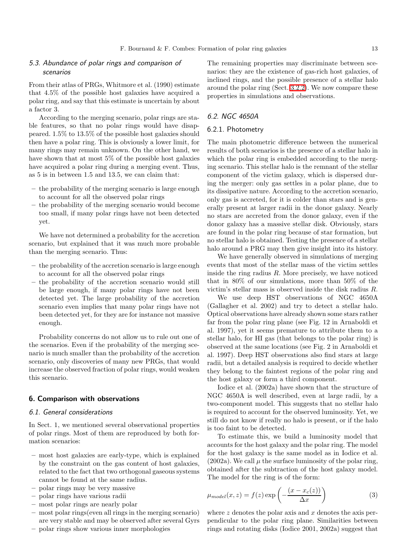# 5.3. Abundance of polar rings and comparison of scenarios

From their atlas of PRGs, Whitmore et al. (1990) estimate that 4.5% of the possible host galaxies have acquired a polar ring, and say that this estimate is uncertain by about a factor 3.

According to the merging scenario, polar rings are stable features, so that no polar rings would have disappeared. 1.5% to 13.5% of the possible host galaxies should then have a polar ring. This is obviously a lower limit, for many rings may remain unknown. On the other hand, we have shown that at most 5% of the possible host galaxies have acquired a polar ring during a merging event. Thus, as 5 is in between 1.5 and 13.5, we can claim that:

- the probability of the merging scenario is large enough to account for all the observed polar rings
- the probability of the merging scenario would become too small, if many polar rings have not been detected yet.

We have not determined a probability for the accretion scenario, but explained that it was much more probable than the merging scenario. Thus:

- the probability of the accretion scenario is large enough to account for all the observed polar rings
- the probability of the accretion scenario would still be large enough, if many polar rings have not been detected yet. The large probability of the accretion scenario even implies that many polar rings have not been detected yet, for they are for instance not massive enough.

Probability concerns do not allow us to rule out one of the scenarios. Even if the probability of the merging scenario is much smaller than the probability of the accretion scenario, only discoveries of many new PRGs, that would increase the observed fraction of polar rings, would weaken this scenario.

# <span id="page-12-0"></span>6. Comparison with observations

### 6.1. General considerations

In Sect. 1, we mentioned several observational properties of polar rings. Most of them are reproduced by both formation scenarios:

- most host galaxies are early-type, which is explained by the constraint on the gas content of host galaxies, related to the fact that two orthogonal gaseous systems cannot be found at the same radius.
- polar rings may be very massive
- polar rings have various radii
- most polar rings are nearly polar
- most polar rings(even all rings in the merging scenario) are very stable and may be observed after several Gyrs
- polar rings show various inner morphologies

The remaining properties may discriminate between scenarios: they are the existence of gas-rich host galaxies, of inclined rings, and the possible presence of a stellar halo around the polar ring (Sect. [3.2.2\)](#page-5-3). We now compare these properties in simulations and observations.

# 6.2. NGC 4650A

### 6.2.1. Photometry

The main photometric difference between the numerical results of both scenarios is the presence of a stellar halo in which the polar ring is embedded according to the merging scenario. This stellar halo is the remnant of the stellar component of the victim galaxy, which is dispersed during the merger: only gas settles in a polar plane, due to its dissipative nature. According to the accretion scenario, only gas is accreted, for it is colder than stars and is generally present at larger radii in the donor galaxy. Nearly no stars are accreted from the donor galaxy, even if the donor galaxy has a massive stellar disk. Obviously, stars are found in the polar ring because of star formation, but no stellar halo is obtained. Testing the presence of a stellar halo around a PRG may then give insight into its history.

We have generally observed in simulations of merging events that most of the stellar mass of the victim settles inside the ring radius  $R$ . More precisely, we have noticed that in 80% of our simulations, more than 50% of the victim's stellar mass is observed inside the disk radius R.

We use deep HST observations of NGC 4650A (Gallagher et al. 2002) and try to detect a stellar halo. Optical observations have already shown some stars rather far from the polar ring plane (see Fig. 12 in Arnaboldi et al. 1997), yet it seems premature to attribute them to a stellar halo, for HI gas (that belongs to the polar ring) is observed at the same locations (see Fig. 2 in Arnaboldi et al. 1997). Deep HST observations also find stars at large radii, but a detailed analysis is required to decide whether they belong to the faintest regions of the polar ring and the host galaxy or form a third component.

Iodice et al. (2002a) have shown that the structure of NGC 4650A is well described, even at large radii, by a two-component model. This suggests that no stellar halo is required to account for the observed luminosity. Yet, we still do not know if really no halo is present, or if the halo is too faint to be detected.

To estimate this, we build a luminosity model that accounts for the host galaxy and the polar ring. The model for the host galaxy is the same model as in Iodice et al. (2002a). We call  $\mu$  the surface luminosity of the polar ring, obtained after the subtraction of the host galaxy model. The model for the ring is of the form:

$$
\mu_{model}(x, z) = f(z) \exp\left(-\frac{(x - x_c(z))}{\Delta x}\right) \tag{3}
$$

where  $z$  denotes the polar axis and  $x$  denotes the axis perpendicular to the polar ring plane. Similarities between rings and rotating disks (Iodice 2001, 2002a) suggest that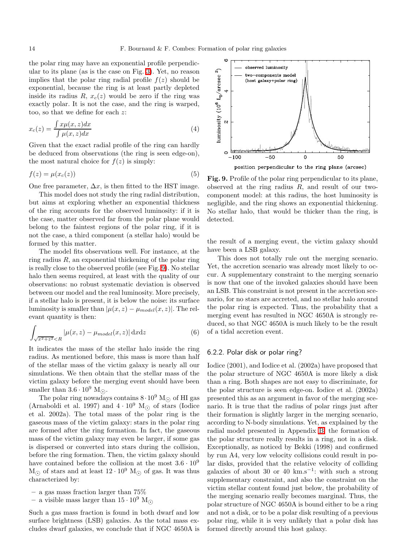the polar ring may have an exponential profile perpendicular to its plane (as is the case on Fig. [3\)](#page-4-0). Yet, no reason implies that the polar ring radial profile  $f(z)$  should be exponential, because the ring is at least partly depleted inside its radius  $R, x_c(z)$  would be zero if the ring was exactly polar. It is not the case, and the ring is warped, too, so that we define for each z:

$$
x_c(z) = \frac{\int x\mu(x,z)dx}{\int \mu(x,z)dx}
$$
\n(4)

Given that the exact radial profile of the ring can hardly be deduced from observations (the ring is seen edge-on), the most natural choice for  $f(z)$  is simply:

$$
f(z) = \mu(x_c(z))\tag{5}
$$

One free parameter,  $\Delta x$ , is then fitted to the HST image.

This model does not study the ring radial distribution, but aims at exploring whether an exponential thickness of the ring accounts for the observed luminosity: if it is the case, matter observed far from the polar plane would belong to the faintest regions of the polar ring, if it is not the case, a third component (a stellar halo) would be formed by this matter.

The model fits observations well. For instance, at the ring radius  $R$ , an exponential thickening of the polar ring is really close to the observed profile (see Fig. [9\)](#page-13-1). No stellar halo then seems required, at least with the quality of our observations: no robust systematic deviation is observed between our model and the real luminosity. More precisely, if a stellar halo is present, it is below the noise: its surface luminosity is smaller than  $|\mu(x, z) - \mu_{model}(x, z)|$ . The relevant quantity is then:

$$
\int_{\sqrt{x^2 + z^2} < R} \left| \mu(x, z) - \mu_{model}(x, z) \right| \, \mathrm{d}x \, \mathrm{d}z \tag{6}
$$

It indicates the mass of the stellar halo inside the ring radius. As mentioned before, this mass is more than half of the stellar mass of the victim galaxy is nearly all our simulations. We then obtain that the stellar mass of the victim galaxy before the merging event should have been smaller than  $3.6 \cdot 10^9$  M<sub> $\odot$ </sub>.

The polar ring nowadays contains  $8 \cdot 10^9$  M<sub> $\odot$ </sub> of HI gas (Arnaboldi et al. 1997) and  $4 \cdot 10^9$  M<sub> $\odot$ </sub> of stars (Iodice et al. 2002a). The total mass of the polar ring is the gaseous mass of the victim galaxy: stars in the polar ring are formed after the ring formation. In fact, the gaseous mass of the victim galaxy may even be larger, if some gas is dispersed or converted into stars during the collision, before the ring formation. Then, the victim galaxy should have contained before the collision at the most  $3.6 \cdot 10^9$  $M_{\odot}$  of stars and at least  $12 \cdot 10^9$   $M_{\odot}$  of gas. It was thus characterized by:

– a gas mass fraction larger than 75%

– a visible mass larger than  $15 \cdot 10^9$  M<sub> $\odot$ </sub>

Such a gas mass fraction is found in both dwarf and low surface brightness (LSB) galaxies. As the total mass excludes dwarf galaxies, we conclude that if NGC 4650A is



<span id="page-13-1"></span>Fig. 9. Profile of the polar ring perpendicular to its plane, observed at the ring radius R, and result of our twocomponent model: at this radius, the host luminosity is negligible, and the ring shows an exponential thickening. No stellar halo, that would be thicker than the ring, is detected.

the result of a merging event, the victim galaxy should have been a LSB galaxy.

This does not totally rule out the merging scenario. Yet, the accretion scenario was already most likely to occur. A supplementary constraint to the merging scenario is now that one of the invoked galaxies should have been an LSB. This constraint is not present in the accretion scenario, for no stars are accreted, and no stellar halo around the polar ring is expected. Thus, the probability that a merging event has resulted in NGC 4650A is strongly reduced, so that NGC 4650A is much likely to be the result of a tidal accretion event.

### <span id="page-13-0"></span>6.2.2. Polar disk or polar ring?

Iodice (2001), and Iodice et al. (2002a) have proposed that the polar structure of NGC 4650A is more likely a disk than a ring. Both shapes are not easy to discriminate, for the polar structure is seen edge-on. Iodice et al. (2002a) presented this as an argument in favor of the merging scenario. It is true that the radius of polar rings just after their formation is slightly larger in the merging scenario, according to N-body simulations. Yet, as explained by the radial model presented in Appendix [B,](#page-17-0) the formation of the polar structure really results in a ring, not in a disk. Exceptionally, as noticed by Bekki (1998) and confirmed by run A4, very low velocity collisions could result in polar disks, provided that the relative velocity of colliding galaxies of about 30 or 40 km.s<sup>-1</sup>: with such a strong supplementary constraint, and also the constraint on the victim stellar content found just below, the probability of the merging scenario really becomes marginal. Thus, the polar structure of NGC 4650A is bound either to be a ring and not a disk, or to be a polar disk resulting of a previous polar ring, while it is very unlikely that a polar disk has formed directly around this host galaxy.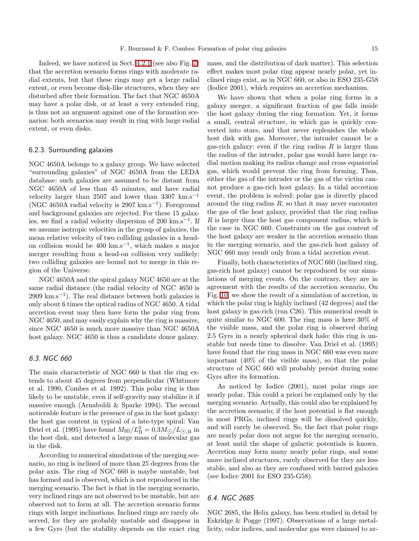Indeed, we have noticed in Sect. [4.2.1](#page-7-3) (see also Fig. [7\)](#page-10-1) that the accretion scenario forms rings with moderate radial extents, but that these rings may get a large radial extent, or even become disk-like structures, when they are disturbed after their formation. The fact that NGC 4650A may have a polar disk, or at least a very extended ring, is thus not an argument against one of the formation scenarios: both scenarios may result in ring with large radial extent, or even disks.

# 6.2.3. Surrounding galaxies

NGC 4650A belongs to a galaxy group. We have selected "surrounding galaxies" of NGC 4650A from the LEDA database: such galaxies are assumed to be distant from NGC 4650A of less than 45 minutes, and have radial velocity larger than 2507 and lower than 3307 km.s<sup>-1</sup> (NGC 4650A radial velocity is 2907 km.s−<sup>1</sup> ). Foreground and background galaxies are rejected. For these 15 galaxies, we find a radial velocity dispersion of 200 km.s<sup>-1</sup>. If we assume isotropic velocities in the group of galaxies, the mean relative velocity of two colliding galaxies in a headon collision would be 400 km.s−<sup>1</sup> , which makes a major merger resulting from a head-on collision very unlikely: two colliding galaxies are bound not to merge in this region of the Universe.

NGC 4650A and the spiral galaxy NGC 4650 are at the same radial distance (the radial velocity of NGC 4650 is 2909 km.s<sup>-1</sup>). The real distance between both galaxies is only about 6 times the optical radius of NGC 4650. A tidal accretion event may then have form the polar ring from NGC 4650, and may easily explain why the ring is massive, since NGC 4650 is much more massive than NGC 4650A host galaxy. NGC 4650 is thus a candidate donor galaxy.

# <span id="page-14-0"></span>6.3. NGC 660

The main characteristic of NGC 660 is that the ring extends to about 45 degrees from perpendicular (Whitmore et al. 1990, Combes et al. 1992). This polar ring is thus likely to be unstable, even if self-gravity may stabilize it if massive enough (Arnaboldi & Sparke 1994). The second noticeable feature is the presence of gas in the host galaxy: the host gas content in typical of a late-type spiral: Van Driel et al. (1995) have found  $M_{\text{HI}}/L_{\text{D}}^{0} = 0.3 M_{\odot}/L_{\odot,B}$  in the host disk, and detected a large mass of molecular gas in the disk.

According to numerical simulations of the merging scenario, no ring is inclined of more than 25 degrees from the polar axis. The ring of NGC 660 is maybe unstable, but has formed and is observed, which is not reproduced in the merging scenario. The fact is that in the merging scenario, very inclined rings are not observed to be unstable, but are observed not to form at all. The accretion scenario forms rings with larger inclinations. Inclined rings are rarely observed, for they are probably unstable and disappear in a few Gyrs (but the stability depends on the exact ring mass, and the distribution of dark matter). This selection effect makes most polar ring appear nearly polar, yet inclined rings exist, as in NGC 660, or also in ESO 235-G58 (Iodice 2001), which requires an accretion mechanism.

We have shown that when a polar ring forms in a galaxy merger, a significant fraction of gas falls inside the host galaxy during the ring formation. Yet, it forms a small, central structure, in which gas is quickly converted into stars, and that never replenishes the whole host disk with gas. Moreover, the intruder cannot be a gas-rich galaxy: even if the ring radius  $R$  is larger than the radius of the intruder, polar gas would have large radial motion making its radius change and cross equatorial gas, which would prevent the ring from forming. Thus, either the gas of the intruder or the gas of the victim cannot produce a gas-rich host galaxy. In a tidal accretion event, the problem is solved: polar gas is directly placed around the ring radius  $R$ , so that it may never encounter the gas of the host galaxy, provided that the ring radius R is larger than the host gas component radius, which is the case in NGC 660. Constraints on the gas content of the host galaxy are weaker in the accretion scenario than in the merging scenario, and the gas-rich host galaxy of NGC 660 may result only from a tidal accretion event.

Finally, both characteristics of NGC 660 (inclined ring, gas-rich host galaxy) cannot be reproduced by our simulations of merging events. On the contrary, they are in agreement with the results of the accretion scenario. On Fig. [10,](#page-15-1) we show the result of a simulation of accretion, in which the polar ring is highly inclined (42 degrees) and the host galaxy is gas-rich (run C26). This numerical result is quite similar to NGC 600. The ring mass is here 30% of the visible mass, and the polar ring is observed during 2.5 Gyrs in a nearly spherical dark halo: this ring is unstable but needs time to dissolve. Van Driel et al. (1995) have found that the ring mass in NGC 660 was even more important (40% of the visible mass), so that the polar structure of NGC 660 will probably persist during some Gyrs after its formation.

As noticed by Iodice (2001), most polar rings are nearly polar. This could a priori be explained only by the merging scenario. Actually, this could also be explained by the accretion scenario; if the host potential is flat enough in most PRGs, inclined rings will be dissolved quickly, and will rarely be observed. So, the fact that polar rings are nearly polar does not argue for the merging scenario, at least until the shape of galactic potentials is known. Accretion may form many nearly polar rings, and some more inclined structures, rarely observed for they are less stable, and also as they are confused with barred galaxies (see Iodice 2001 for ESO 235-G58).

# 6.4. NGC 2685

NGC 2685, the Helix galaxy, has been studied in detail by Eskridge & Pogge (1997). Observations of a large metallicity, color indices, and molecular gas were claimed to ar-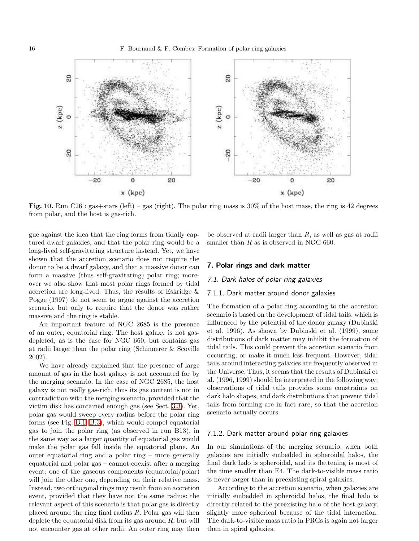

<span id="page-15-1"></span>Fig. 10. Run C26 : gas+stars (left) – gas (right). The polar ring mass is  $30\%$  of the host mass, the ring is 42 degrees from polar, and the host is gas-rich.

gue against the idea that the ring forms from tidally captured dwarf galaxies, and that the polar ring would be a long-lived self-gravitating structure instead. Yet, we have shown that the accretion scenario does not require the donor to be a dwarf galaxy, and that a massive donor can form a massive (thus self-gravitating) polar ring; moreover we also show that most polar rings formed by tidal accretion are long-lived. Thus, the results of Eskridge & Pogge (1997) do not seem to argue against the accretion scenario, but only to require that the donor was rather massive and the ring is stable.

An important feature of NGC 2685 is the presence of an outer, equatorial ring. The host galaxy is not gasdepleted, as is the case for NGC 660, but contains gas at radii larger than the polar ring (Schinnerer & Scoville 2002).

We have already explained that the presence of large amount of gas in the host galaxy is not accounted for by the merging scenario. In the case of NGC 2685, the host galaxy is not really gas-rich, thus its gas content is not in contradiction with the merging scenario, provided that the victim disk has contained enough gas (see Sect. [3.3\)](#page-6-0). Yet, polar gas would sweep every radius before the polar ring forms (see Fig. [B.1,](#page-19-0) [B.3\)](#page-19-1), which would compel equatorial gas to join the polar ring (as observed in run B13), in the same way as a larger quantity of equatorial gas would make the polar gas fall inside the equatorial plane. An outer equatorial ring and a polar ring – more generally equatorial and polar gas – cannot coexist after a merging event: one of the gaseous components (equatorial/polar) will join the other one, depending on their relative mass. Instead, two orthogonal rings may result from an accretion event, provided that they have not the same radius: the relevant aspect of this scenario is that polar gas is directly placed around the ring final radius R. Polar gas will then deplete the equatorial disk from its gas around  $R$ , but will not encounter gas at other radii. An outer ring may then

be observed at radii larger than R, as well as gas at radii smaller than R as is observed in NGC 660.

#### <span id="page-15-0"></span>7. Polar rings and dark matter

#### 7.1. Dark halos of polar ring galaxies

### 7.1.1. Dark matter around donor galaxies

The formation of a polar ring according to the accretion scenario is based on the development of tidal tails, which is influenced by the potential of the donor galaxy (Dubinski et al. 1996). As shown by Dubinski et al. (1999), some distributions of dark matter may inhibit the formation of tidal tails. This could prevent the accretion scenario from occurring, or make it much less frequent. However, tidal tails around interacting galaxies are frequently observed in the Universe. Thus, it seems that the results of Dubinski et al. (1996, 1999) should be interpreted in the following way: observations of tidal tails provides some constraints on dark halo shapes, and dark distributions that prevent tidal tails from forming are in fact rare, so that the accretion scenario actually occurs.

### 7.1.2. Dark matter around polar ring galaxies

In our simulations of the merging scenario, when both galaxies are initially embedded in spheroidal halos, the final dark halo is spheroidal, and its flattening is most of the time smaller than E4. The dark-to-visible mass ratio is never larger than in preexisting spiral galaxies.

According to the accretion scenario, when galaxies are initially embedded in spheroidal halos, the final halo is directly related to the preexisting halo of the host galaxy, slightly more spherical because of the tidal interaction. The dark-to-visible mass ratio in PRGs is again not larger than in spiral galaxies.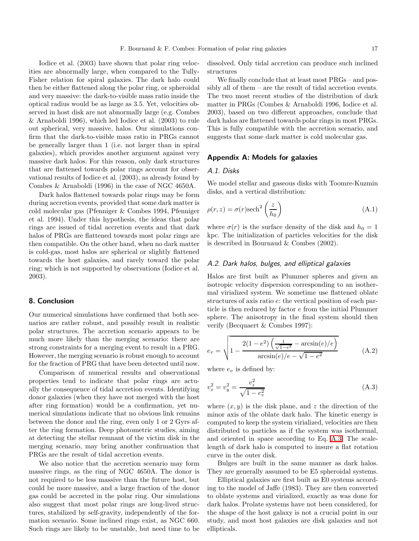Iodice et al. (2003) have shown that polar ring velocities are abnormally large, when compared to the Tully-Fisher relation for spiral galaxies. The dark halo could then be either flattened along the polar ring, or spheroidal and very massive: the dark-to-visible mass ratio inside the optical radius would be as large as 3.5. Yet, velocities observed in host disk are not abnormally large (e.g. Combes & Arnaboldi 1996), which led Iodice et al. (2003) to rule out spherical, very massive, halos. Our simulations confirm that the dark-to-visible mass ratio in PRGs cannot be generally larger than 1 (i.e. not larger than in spiral galaxies), which provides another argument against very massive dark halos. For this reason, only dark structures that are flattened towards polar rings account for observational results of Iodice et al. (2003), as already found by Combes & Arnaboldi (1996) in the case of NGC 4650A.

Dark halos flattened towards polar rings may be form during accretion events, provided that some dark matter is cold molecular gas (Pfenniger & Combes 1994, Pfenniger et al. 1994). Under this hypothesis, the ideas that polar rings are issued of tidal accretion events and that dark halos of PRGs are flattened towards most polar rings are then compatible. On the other hand, when no dark matter is cold-gas, most halos are spherical or slightly flattened towards the host galaxies, and rarely toward the polar ring; which is not supported by observations (Iodice et al. 2003).

### <span id="page-16-0"></span>8. Conclusion

Our numerical simulations have confirmed that both scenarios are rather robust, and possibly result in realistic polar structures. The accretion scenario appears to be much more likely than the merging scenario: there are strong constraints for a merging event to result in a PRG. However, the merging scenario is robust enough to account for the fraction of PRG that have been detected until now.

Comparison of numerical results and observational properties tend to indicate that polar rings are actually the consequence of tidal accretion events. Identifying donor galaxies (when they have not merged with the host after ring formation) would be a confirmation, yet numerical simulations indicate that no obvious link remains between the donor and the ring, even only 1 or 2 Gyrs after the ring formation. Deep photometric studies, aiming at detecting the stellar remnant of the victim disk in the merging scenario, may bring another confirmation that PRGs are the result of tidal accretion events.

We also notice that the accretion scenario may form massive rings, as the ring of NGC 4650A. The donor is not required to be less massive than the future host, but could be more massive, and a large fraction of the donor gas could be accreted in the polar ring. Our simulations also suggest that most polar rings are long-lived structures, stabilized by self-gravity, independently of the formation scenario. Some inclined rings exist, as NGC 660. Such rings are likely to be unstable, but need time to be

dissolved. Only tidal accretion can produce such inclined structures

We finally conclude that at least most  $PRGs - and pos$ sibly all of them – are the result of tidal accretion events. The two most recent studies of the distribution of dark matter in PRGs (Combes & Arnaboldi 1996, Iodice et al. 2003), based on two different approaches, conclude that dark halos are flattened towards polar rings in most PRGs. This is fully compatible with the accretion scenario, and suggests that some dark matter is cold molecular gas.

### <span id="page-16-1"></span>Appendix A: Models for galaxies

#### A.1. Disks

We model stellar and gaseous disks with Toomre-Kuzmin disks, and a vertical distribution:

$$
\rho(r,z) = \sigma(r)\text{sech}^2\left(\frac{z}{h_0}\right) \tag{A.1}
$$

where  $\sigma(r)$  is the surface density of the disk and  $h_0 = 1$ kpc. The initialization of particles velocities for the disk is described in Bournaud & Combes (2002).

# A.2. Dark halos, bulges, and elliptical galaxies

Halos are first built as Plummer spheres and given an isotropic velocity dispersion corresponding to an isothermal virialized system. We sometime use flattened oblate structures of axis ratio e: the vertical position of each particle is then reduced by factor e from the initial Plummer sphere. The anisotropy in the final system should then verify (Becquaert & Combes 1997):

<span id="page-16-3"></span>
$$
e_v = \sqrt{1 - \frac{2(1 - e^2)\left(\frac{1}{\sqrt{1 - e^2}} - \arcsin(e)/e\right)}{\arcsin(e)/e - \sqrt{1 - e^2}}}
$$
(A.2)

where  $e_v$  is defined by:

<span id="page-16-2"></span>
$$
v_x^2 = v_y^2 = \frac{v_z^2}{\sqrt{1 - e_v^2}}
$$
 (A.3)

where  $(x, y)$  is the disk plane, and z the direction of the minor axis of the oblate dark halo. The kinetic energy is computed to keep the system virialized, velocities are then distributed to particles as if the system was isothermal, and oriented in space according to Eq. [A.3.](#page-16-2) The scalelength of dark halo is computed to insure a flat rotation curve in the outer disk.

Bulges are built in the same manner as dark halos. They are generally assumed to be E5 spheroidal systems.

Elliptical galaxies are first built as E0 systems according to the model of Jaffe (1983). They are then converted to oblate systems and virialized, exactly as was done for dark halos. Prolate systems have not been considered, for the shape of the host galaxy is not a crucial point in our study, and most host galaxies are disk galaxies and not ellipticals.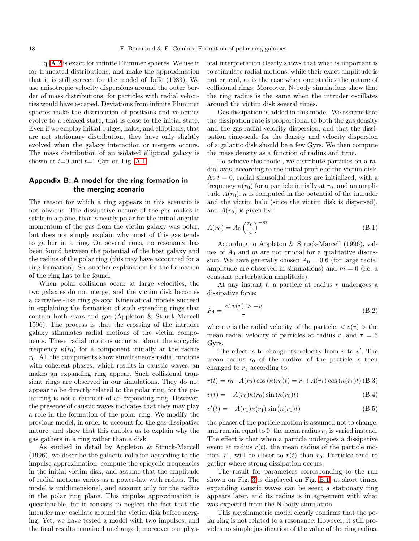Eq. [A.2](#page-16-3) is exact for infinite Plummer spheres. We use it for truncated distributions, and make the approximation that it is still correct for the model of Jaffe (1983). We use anisotropic velocity dispersions around the outer border of mass distributions, for particles with radial velocities would have escaped. Deviations from infinite Plummer spheres make the distribution of positions and velocities evolve to a relaxed state, that is close to the initial state. Even if we employ initial bulges, halos, and ellipticals, that are not stationary distribution, they have only slightly evolved when the galaxy interaction or mergers occurs. The mass distribution of an isolated elliptical galaxy is shown at  $t=0$  and  $t=1$  Gyr on Fig. [A.1.](#page-18-0)

# <span id="page-17-0"></span>Appendix B: A model for the ring formation in the merging scenario

The reason for which a ring appears in this scenario is not obvious. The dissipative nature of the gas makes it settle in a plane, that is nearly polar for the initial angular momentum of the gas from the victim galaxy was polar, but does not simply explain why most of this gas tends to gather in a ring. On several runs, no resonance has been found between the potential of the host galaxy and the radius of the polar ring (this may have accounted for a ring formation). So, another explanation for the formation of the ring has to be found.

When polar collisions occur at large velocities, the two galaxies do not merge, and the victim disk becomes a cartwheel-like ring galaxy. Kinematical models succeed in explaining the formation of such extending rings that contain both stars and gas (Appleton & Struck-Marcell 1996). The process is that the crossing of the intruder galaxy stimulates radial motions of the victim components. These radial motions occur at about the epicyclic frequency  $\kappa(r_0)$  for a component initially at the radius  $r_0$ . All the components show simultaneous radial motions with coherent phases, which results in caustic waves, an makes an expanding ring appear. Such collisional transient rings are observed in our simulations. They do not appear to be directly related to the polar ring, for the polar ring is not a remnant of an expanding ring. However, the presence of caustic waves indicates that they may play a role in the formation of the polar ring. We modify the previous model, in order to account for the gas dissipative nature, and show that this enables us to explain why the gas gathers in a ring rather than a disk.

As studied in detail by Appleton & Struck-Marcell (1996), we describe the galactic collision according to the impulse approximation, compute the epicyclic frequencies in the initial victim disk, and assume that the amplitude of radial motions varies as a power-law with radius. The model is unidimensional, and account only for the radius in the polar ring plane. This impulse approximation is questionable, for it consists to neglect the fact that the intruder may oscillate around the victim disk before merging. Yet, we have tested a model with two impulses, and the final results remained unchanged; moreover our physical interpretation clearly shows that what is important is to stimulate radial motions, while their exact amplitude is not crucial, as is the case when one studies the nature of collisional rings. Moreover, N-body simulations show that the ring radius is the same when the intruder oscillates around the victim disk several times.

Gas dissipation is added in this model. We assume that the dissipation rate is proportional to both the gas density and the gas radial velocity dispersion, and that the dissipation time-scale for the density and velocity dispersion of a galactic disk should be a few Gyrs. We then compute the mass density as a function of radius and time.

To achieve this model, we distribute particles on a radial axis, according to the initial profile of the victim disk. At  $t = 0$ , radial sinusoidal motions are initialized, with a frequency  $\kappa(r_0)$  for a particle initially at  $r_0$ , and an amplitude  $A(r_0)$ .  $\kappa$  is computed in the potential of the intruder and the victim halo (since the victim disk is dispersed), and  $A(r_0)$  is given by:

$$
A(r_0) = A_0 \left(\frac{r_0}{a}\right)^{-m} \tag{B.1}
$$

According to Appleton & Struck-Marcell (1996), values of  $A_0$  and m are not crucial for a qualitative discussion. We have generally chosen  $A_0 = 0.6$  (for large radial amplitude are observed in simulations) and  $m = 0$  (i.e. a constant perturbation amplitude).

At any instant  $t$ , a particle at radius  $r$  undergoes a dissipative force:

$$
F_{\rm d} = \frac{\langle v(r) \rangle - v}{\tau} \tag{B.2}
$$

where v is the radial velocity of the particle,  $\langle v(r) \rangle$  the mean radial velocity of particles at radius r, and  $\tau = 5$ Gyrs.

The effect is to change its velocity from  $v$  to  $v'$ . The mean radius  $r_0$  of the motion of the particle is then changed to  $r_1$  according to:

$$
r(t) = r_0 + A(r_0) \cos(\kappa(r_0)t) = r_1 + A(r_1) \cos(\kappa(r_1)t)
$$
 (B.3)

$$
v(t) = -A(r_0)\kappa(r_0)\sin(\kappa(r_0)t)
$$
\n(B.4)

$$
v'(t) = -A(r_1)\kappa(r_1)\sin(\kappa(r_1)t)
$$
\n(B.5)

the phases of the particle motion is assumed not to change, and remain equal to 0, the mean radius  $r_0$  is varied instead. The effect is that when a particle undergoes a dissipative event at radius  $r(t)$ , the mean radius of the particle motion,  $r_1$ , will be closer to  $r(t)$  than  $r_0$ . Particles tend to gather where strong dissipation occurs.

The result for parameters corresponding to the run shown on Fig. [3](#page-4-0) is displayed on Fig. [B.1:](#page-19-0) at short times, expanding caustic waves can be seen; a stationary ring appears later, and its radius is in agreement with what was expected from the N-body simulation.

This axysimmetric model clearly confirms that the polar ring is not related to a resonance. However, it still provides no simple justification of the value of the ring radius.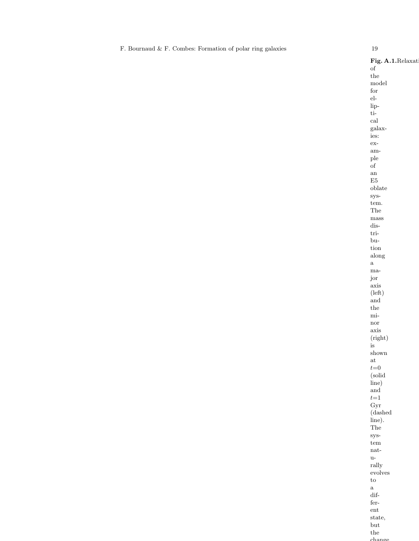<span id="page-18-0"></span>F. Bournaud & F. Combes: Formation of polar ring galaxies 19 Fig. A.1.Relaxat of the model for elliptical galaxies: example of an  $\rm E5$ oblate system. The mass distribution along a major axis (left) and the minor axis (right) is shown at  $t{=}0$ (solid line) and  $t\hspace{-2pt}=\hspace{-2pt}1$ Gyr (dashed line). The system naturally evolves to a different state, but the chang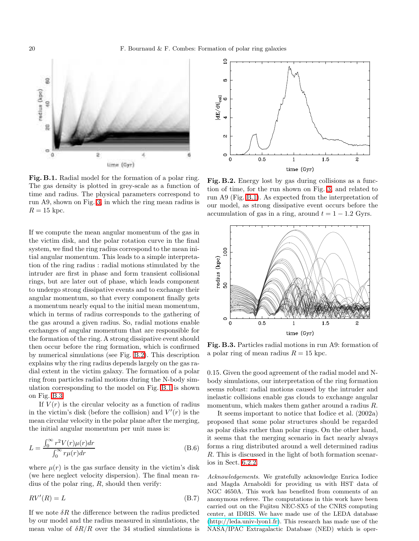

<span id="page-19-0"></span>Fig. B.1. Radial model for the formation of a polar ring. The gas density is plotted in grey-scale as a function of time and radius. The physical parameters correspond to run A9, shown on Fig. [3,](#page-4-0) in which the ring mean radius is  $R = 15$  kpc.

If we compute the mean angular momentum of the gas in the victim disk, and the polar rotation curve in the final system, we find the ring radius correspond to the mean initial angular momentum. This leads to a simple interpretation of the ring radius : radial motions stimulated by the intruder are first in phase and form transient collisional rings, but are later out of phase, which leads component to undergo strong dissipative events and to exchange their angular momentum, so that every component finally gets a momentum nearly equal to the initial mean momentum, which in terms of radius corresponds to the gathering of the gas around a given radius. So, radial motions enable exchanges of angular momentum that are responsible for the formation of the ring. A strong dissipative event should then occur before the ring formation, which is confirmed by numerical simulations (see Fig. [B.2\)](#page-19-2). This description explains why the ring radius depends largely on the gas radial extent in the victim galaxy. The formation of a polar ring from particles radial motions during the N-body simulation corresponding to the model on Fig. [B.1](#page-19-0) is shown on Fig. [B.3](#page-19-1)

If  $V(r)$  is the circular velocity as a function of radius in the victim's disk (before the collision) and  $V'(r)$  is the mean circular velocity in the polar plane after the merging, the initial angular momentum per unit mass is:

$$
L = \frac{\int_0^\infty r^2 V(r) \mu(r) dr}{\int_0^\infty r \mu(r) dr}
$$
(B.6)

where  $\mu(r)$  is the gas surface density in the victim's disk (we here neglect velocity dispersion). The final mean radius of the polar ring,  $R$ , should then verify:

$$
RV'(R) = L \tag{B.7}
$$

If we note  $\delta R$  the difference between the radius predicted by our model and the radius measured in simulations, the mean value of  $\delta R/R$  over the 34 studied simulations is



<span id="page-19-2"></span>Fig. B.2. Energy lost by gas during collisions as a function of time, for the run shown on Fig. [3,](#page-4-0) and related to run A9 (Fig. [B.1\)](#page-19-0). As expected from the interpretation of our model, as strong dissipative event occurs before the accumulation of gas in a ring, around  $t = 1 - 1.2$  Gyrs.



<span id="page-19-1"></span>Fig. B.3. Particles radial motions in run A9: formation of a polar ring of mean radius  $R = 15$  kpc.

0.15. Given the good agreement of the radial model and Nbody simulations, our interpretation of the ring formation seems robust: radial motions caused by the intruder and inelastic collisions enable gas clouds to exchange angular momentum, which makes them gather around a radius R.

It seems important to notice that Iodice et al. (2002a) proposed that some polar structures should be regarded as polar disks rather than polar rings. On the other hand, it seems that the merging scenario in fact nearly always forms a ring distributed around a well determined radius R. This is discussed in the light of both formation scenarios in Sect. [6.2.2.](#page-13-0)

Acknowledgements. We gratefully acknowledge Enrica Iodice and Magda Arnaboldi for providing us with HST data of NGC 4650A. This work has benefited from comments of an anonymous referee. The computations in this work have been carried out on the Fujitsu NEC-SX5 of the CNRS computing center, at IDRIS. We have made use of the LEDA database [\(http://leda.univ-lyon1.fr\)](http://leda.univ-lyon1.fr). This research has made use of the NASA/IPAC Extragalactic Database (NED) which is oper-